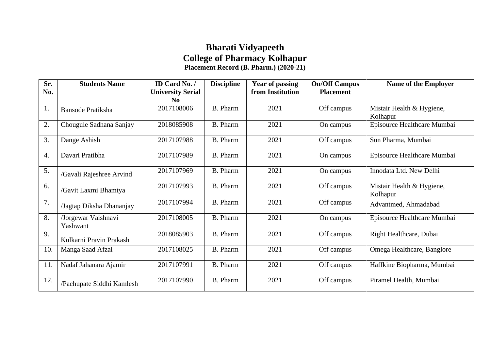## **Bharati Vidyapeeth College of Pharmacy Kolhapur Placement Record (B. Pharm.) (2020-21)**

| Sr.<br>No.       | <b>Students Name</b>            | ID Card No. /<br><b>University Serial</b> | <b>Discipline</b> | <b>Year of passing</b><br>from Institution | <b>On/Off Campus</b><br><b>Placement</b> | <b>Name of the Employer</b>           |
|------------------|---------------------------------|-------------------------------------------|-------------------|--------------------------------------------|------------------------------------------|---------------------------------------|
|                  |                                 | N <sub>0</sub>                            |                   |                                            |                                          |                                       |
| 1.               | <b>Bansode Pratiksha</b>        | 2017108006                                | <b>B.</b> Pharm   | 2021                                       | Off campus                               | Mistair Health & Hygiene,<br>Kolhapur |
| 2.               | Chougule Sadhana Sanjay         | 2018085908                                | <b>B.</b> Pharm   | 2021                                       | On campus                                | Episource Healthcare Mumbai           |
| 3.               | Dange Ashish                    | 2017107988                                | <b>B.</b> Pharm   | 2021                                       | Off campus                               | Sun Pharma, Mumbai                    |
| $\overline{4}$ . | Davari Pratibha                 | 2017107989                                | <b>B.</b> Pharm   | 2021                                       | On campus                                | Episource Healthcare Mumbai           |
| 5.               | /Gavali Rajeshree Arvind        | 2017107969                                | <b>B.</b> Pharm   | 2021                                       | On campus                                | Innodata Ltd. New Delhi               |
| 6.               | /Gavit Laxmi Bhamtya            | 2017107993                                | <b>B.</b> Pharm   | 2021                                       | Off campus                               | Mistair Health & Hygiene,<br>Kolhapur |
| 7.               | /Jagtap Diksha Dhananjay        | 2017107994                                | <b>B.</b> Pharm   | 2021                                       | Off campus                               | Advantmed, Ahmadabad                  |
| 8.               | /Jorgewar Vaishnavi<br>Yashwant | 2017108005                                | <b>B.</b> Pharm   | 2021                                       | On campus                                | Episource Healthcare Mumbai           |
| 9.               | Kulkarni Pravin Prakash         | 2018085903                                | <b>B.</b> Pharm   | 2021                                       | Off campus                               | Right Healthcare, Dubai               |
| 10.              | Manga Saad Afzal                | 2017108025                                | <b>B.</b> Pharm   | 2021                                       | Off campus                               | Omega Healthcare, Banglore            |
| 11.              | Nadaf Jahanara Ajamir           | 2017107991                                | <b>B.</b> Pharm   | 2021                                       | Off campus                               | Haffkine Biopharma, Mumbai            |
| 12.              | /Pachupate Siddhi Kamlesh       | 2017107990                                | <b>B.</b> Pharm   | 2021                                       | Off campus                               | Piramel Health, Mumbai                |